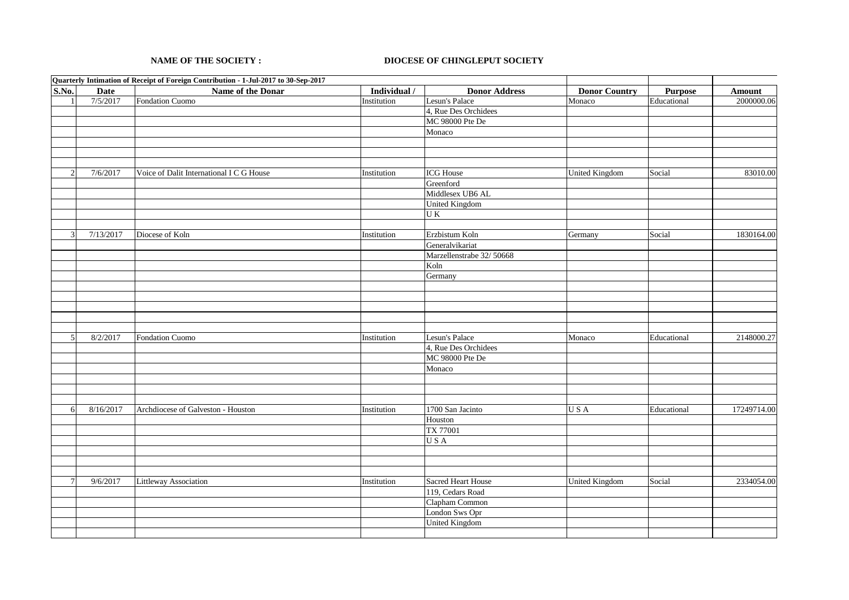## **NAME OF THE SOCIETY :**

## **DIOCESE OF CHINGLEPUT SOCIETY**

|                 |             | Quarterly Intimation of Receipt of Foreign Contribution - 1-Jul-2017 to 30-Sep-2017 |              |                           |                       |             |               |
|-----------------|-------------|-------------------------------------------------------------------------------------|--------------|---------------------------|-----------------------|-------------|---------------|
| S.No.           | <b>Date</b> | Name of the Donar                                                                   | Individual / | <b>Donor Address</b>      | <b>Donor Country</b>  | Purpose     | <b>Amount</b> |
| $\mathbf{1}$    | 7/5/2017    | Fondation Cuomo                                                                     | Institution  | Lesun's Palace            | Monaco                | Educational | 2000000.06    |
|                 |             |                                                                                     |              | 4, Rue Des Orchidees      |                       |             |               |
|                 |             |                                                                                     |              | MC 98000 Pte De           |                       |             |               |
|                 |             |                                                                                     |              | Monaco                    |                       |             |               |
|                 |             |                                                                                     |              |                           |                       |             |               |
|                 |             |                                                                                     |              |                           |                       |             |               |
|                 |             |                                                                                     |              |                           |                       |             |               |
| $\overline{2}$  | 7/6/2017    | Voice of Dalit International I C G House                                            | Institution  | <b>ICG</b> House          | <b>United Kingdom</b> | Social      | 83010.00      |
|                 |             |                                                                                     |              | Greenford                 |                       |             |               |
|                 |             |                                                                                     |              | Middlesex UB6 AL          |                       |             |               |
|                 |             |                                                                                     |              | <b>United Kingdom</b>     |                       |             |               |
|                 |             |                                                                                     |              | UK                        |                       |             |               |
|                 |             |                                                                                     |              |                           |                       |             |               |
| 3               | 7/13/2017   | Diocese of Koln                                                                     | Institution  | Erzbistum Koln            | Germany               | Social      | 1830164.00    |
|                 |             |                                                                                     |              | Generalvikariat           |                       |             |               |
|                 |             |                                                                                     |              | Marzellenstrabe 32/50668  |                       |             |               |
|                 |             |                                                                                     |              | Koln                      |                       |             |               |
|                 |             |                                                                                     |              | Germany                   |                       |             |               |
|                 |             |                                                                                     |              |                           |                       |             |               |
|                 |             |                                                                                     |              |                           |                       |             |               |
|                 |             |                                                                                     |              |                           |                       |             |               |
|                 |             |                                                                                     |              |                           |                       |             |               |
|                 |             |                                                                                     |              |                           |                       |             |               |
| 5               | 8/2/2017    | Fondation Cuomo                                                                     | Institution  | Lesun's Palace            | Monaco                | Educational | 2148000.27    |
|                 |             |                                                                                     |              | 4, Rue Des Orchidees      |                       |             |               |
|                 |             |                                                                                     |              | MC 98000 Pte De           |                       |             |               |
|                 |             |                                                                                     |              | Monaco                    |                       |             |               |
|                 |             |                                                                                     |              |                           |                       |             |               |
|                 |             |                                                                                     |              |                           |                       |             |               |
|                 |             |                                                                                     |              |                           |                       |             |               |
| 6               | 8/16/2017   | Archdiocese of Galveston - Houston                                                  | Institution  | 1700 San Jacinto          | USA                   | Educational | 17249714.00   |
|                 |             |                                                                                     |              | Houston                   |                       |             |               |
|                 |             |                                                                                     |              | TX 77001                  |                       |             |               |
|                 |             |                                                                                     |              | USA                       |                       |             |               |
|                 |             |                                                                                     |              |                           |                       |             |               |
|                 |             |                                                                                     |              |                           |                       |             |               |
|                 |             |                                                                                     |              |                           |                       |             |               |
| $7\phantom{.0}$ | 9/6/2017    | Littleway Association                                                               | Institution  | <b>Sacred Heart House</b> | <b>United Kingdom</b> | Social      | 2334054.00    |
|                 |             |                                                                                     |              | 119, Cedars Road          |                       |             |               |
|                 |             |                                                                                     |              | Clapham Common            |                       |             |               |
|                 |             |                                                                                     |              | London Sws Opr            |                       |             |               |
|                 |             |                                                                                     |              | <b>United Kingdom</b>     |                       |             |               |
|                 |             |                                                                                     |              |                           |                       |             |               |
|                 |             |                                                                                     |              |                           |                       |             |               |